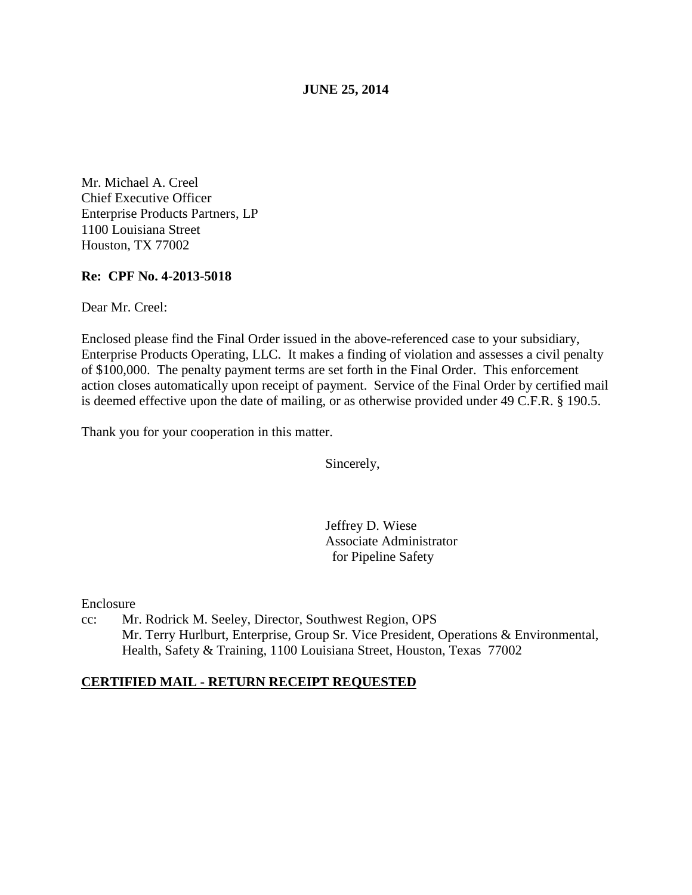**JUNE 25, 2014** 

Mr. Michael A. Creel Chief Executive Officer Enterprise Products Partners, LP 1100 Louisiana Street Houston, TX 77002

## **Re: CPF No. 4-2013-5018**

Dear Mr. Creel:

Enclosed please find the Final Order issued in the above-referenced case to your subsidiary, Enterprise Products Operating, LLC. It makes a finding of violation and assesses a civil penalty of \$100,000. The penalty payment terms are set forth in the Final Order. This enforcement action closes automatically upon receipt of payment. Service of the Final Order by certified mail is deemed effective upon the date of mailing, or as otherwise provided under 49 C.F.R. § 190.5.

Thank you for your cooperation in this matter.

Sincerely,

Jeffrey D. Wiese Associate Administrator for Pipeline Safety

Enclosure

cc: Mr. Rodrick M. Seeley, Director, Southwest Region, OPS Mr. Terry Hurlburt, Enterprise, Group Sr. Vice President, Operations & Environmental, Health, Safety & Training, 1100 Louisiana Street, Houston, Texas 77002

### **CERTIFIED MAIL - RETURN RECEIPT REQUESTED**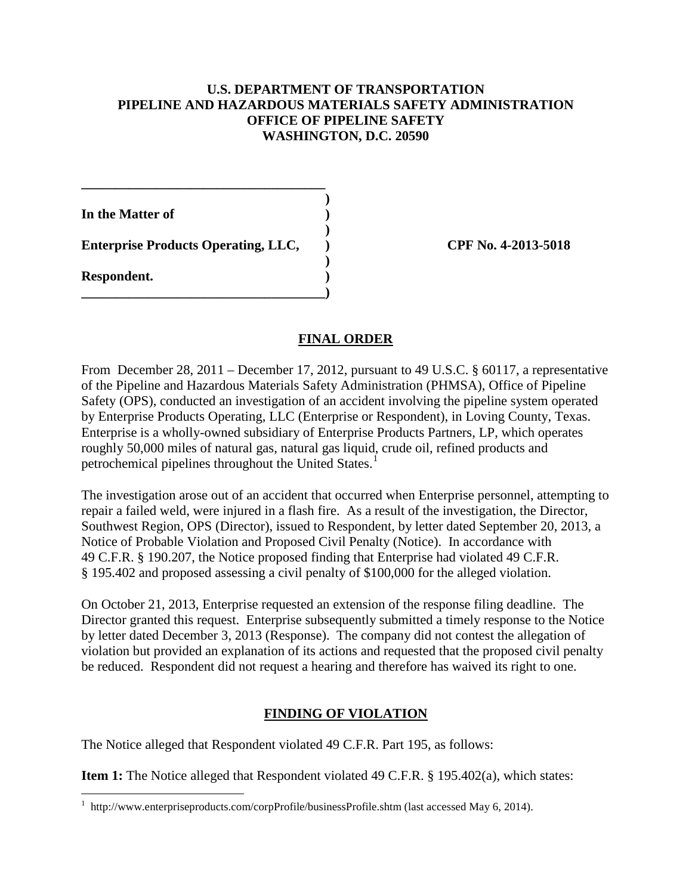### **U.S. DEPARTMENT OF TRANSPORTATION PIPELINE AND HAZARDOUS MATERIALS SAFETY ADMINISTRATION OFFICE OF PIPELINE SAFETY WASHINGTON, D.C. 20590**

 **) In the Matter of )** 

Enterprise Products Operating, LLC,  $\qquad$  ) CPF No. 4-2013-5018

**\_\_\_\_\_\_\_\_\_\_\_\_\_\_\_\_\_\_\_\_\_\_\_\_\_\_\_\_\_\_\_\_\_\_\_\_** 

 **)** 

 **)** 

**\_\_\_\_\_\_\_\_\_\_\_\_\_\_\_\_\_\_\_\_\_\_\_\_\_\_\_\_\_\_\_\_\_\_\_\_)** 

**Respondent. )** 

# **FINAL ORDER**

From December 28, 2011 – December 17, 2012, pursuant to 49 U.S.C. § 60117, a representative of the Pipeline and Hazardous Materials Safety Administration (PHMSA), Office of Pipeline Safety (OPS), conducted an investigation of an accident involving the pipeline system operated by Enterprise Products Operating, LLC (Enterprise or Respondent), in Loving County, Texas. Enterprise is a wholly-owned subsidiary of Enterprise Products Partners, LP, which operates roughly 50,000 miles of natural gas, natural gas liquid, crude oil, refined products and petrochemical pipelines throughout the United States.<sup>1</sup>

The investigation arose out of an accident that occurred when Enterprise personnel, attempting to repair a failed weld, were injured in a flash fire. As a result of the investigation, the Director, Southwest Region, OPS (Director), issued to Respondent, by letter dated September 20, 2013, a Notice of Probable Violation and Proposed Civil Penalty (Notice). In accordance with 49 C.F.R. § 190.207, the Notice proposed finding that Enterprise had violated 49 C.F.R. § 195.402 and proposed assessing a civil penalty of \$100,000 for the alleged violation.

On October 21, 2013, Enterprise requested an extension of the response filing deadline. The Director granted this request. Enterprise subsequently submitted a timely response to the Notice by letter dated December 3, 2013 (Response). The company did not contest the allegation of violation but provided an explanation of its actions and requested that the proposed civil penalty be reduced. Respondent did not request a hearing and therefore has waived its right to one.

# **FINDING OF VIOLATION**

The Notice alleged that Respondent violated 49 C.F.R. Part 195, as follows:

**Item 1:** The Notice alleged that Respondent violated 49 C.F.R. § 195.402(a), which states:

 1 http://www.enterpriseproducts.com/corpProfile/businessProfile.shtm (last accessed May 6, 2014).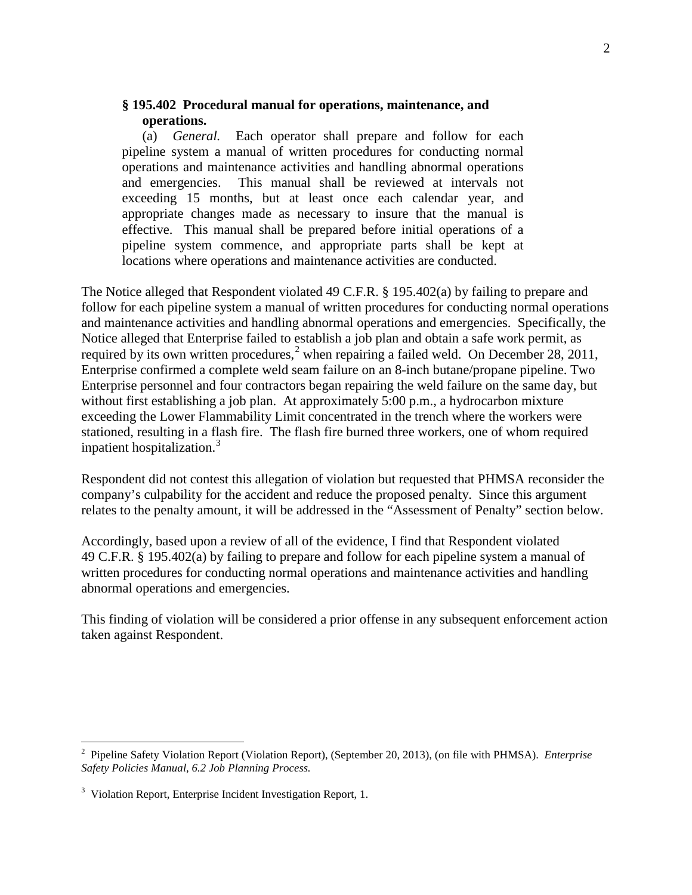### **§ 195.402 Procedural manual for operations, maintenance, and operations.**

(a) *General.* Each operator shall prepare and follow for each pipeline system a manual of written procedures for conducting normal operations and maintenance activities and handling abnormal operations and emergencies. This manual shall be reviewed at intervals not exceeding 15 months, but at least once each calendar year, and appropriate changes made as necessary to insure that the manual is effective. This manual shall be prepared before initial operations of a pipeline system commence, and appropriate parts shall be kept at locations where operations and maintenance activities are conducted.

The Notice alleged that Respondent violated 49 C.F.R. § 195.402(a) by failing to prepare and follow for each pipeline system a manual of written procedures for conducting normal operations and maintenance activities and handling abnormal operations and emergencies. Specifically, the Notice alleged that Enterprise failed to establish a job plan and obtain a safe work permit, as required by its own written procedures,<sup>2</sup> when repairing a failed weld. On December 28, 2011, Enterprise confirmed a complete weld seam failure on an 8-inch butane/propane pipeline. Two Enterprise personnel and four contractors began repairing the weld failure on the same day, but without first establishing a job plan. At approximately 5:00 p.m., a hydrocarbon mixture exceeding the Lower Flammability Limit concentrated in the trench where the workers were stationed, resulting in a flash fire. The flash fire burned three workers, one of whom required inpatient hospitalization.<sup>3</sup>

Respondent did not contest this allegation of violation but requested that PHMSA reconsider the company's culpability for the accident and reduce the proposed penalty. Since this argument relates to the penalty amount, it will be addressed in the "Assessment of Penalty" section below.

Accordingly, based upon a review of all of the evidence, I find that Respondent violated 49 C.F.R. § 195.402(a) by failing to prepare and follow for each pipeline system a manual of written procedures for conducting normal operations and maintenance activities and handling abnormal operations and emergencies.

This finding of violation will be considered a prior offense in any subsequent enforcement action taken against Respondent.

 2 Pipeline Safety Violation Report (Violation Report), (September 20, 2013), (on file with PHMSA). *Enterprise Safety Policies Manual, 6.2 Job Planning Process.*

<sup>&</sup>lt;sup>3</sup> Violation Report, Enterprise Incident Investigation Report, 1.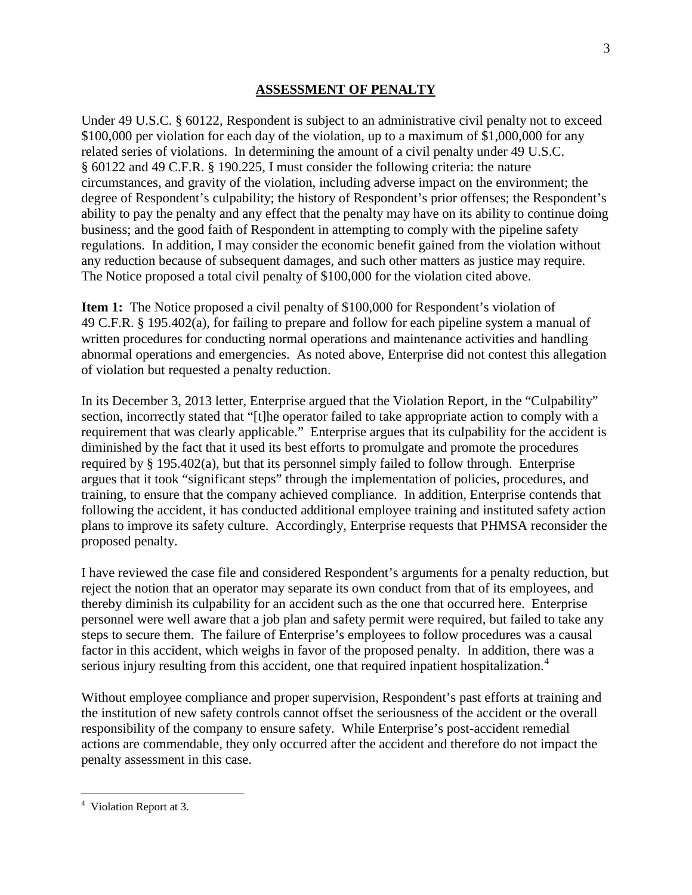#### **ASSESSMENT OF PENALTY**

Under 49 U.S.C. § 60122, Respondent is subject to an administrative civil penalty not to exceed \$100,000 per violation for each day of the violation, up to a maximum of \$1,000,000 for any related series of violations. In determining the amount of a civil penalty under 49 U.S.C. § 60122 and 49 C.F.R. § 190.225, I must consider the following criteria: the nature circumstances, and gravity of the violation, including adverse impact on the environment; the degree of Respondent's culpability; the history of Respondent's prior offenses; the Respondent's ability to pay the penalty and any effect that the penalty may have on its ability to continue doing business; and the good faith of Respondent in attempting to comply with the pipeline safety regulations. In addition, I may consider the economic benefit gained from the violation without any reduction because of subsequent damages, and such other matters as justice may require. The Notice proposed a total civil penalty of \$100,000 for the violation cited above.

**Item 1:** The Notice proposed a civil penalty of \$100,000 for Respondent's violation of 49 C.F.R. § 195.402(a), for failing to prepare and follow for each pipeline system a manual of written procedures for conducting normal operations and maintenance activities and handling abnormal operations and emergencies. As noted above, Enterprise did not contest this allegation of violation but requested a penalty reduction.

In its December 3, 2013 letter, Enterprise argued that the Violation Report, in the "Culpability" section, incorrectly stated that "[t]he operator failed to take appropriate action to comply with a requirement that was clearly applicable." Enterprise argues that its culpability for the accident is diminished by the fact that it used its best efforts to promulgate and promote the procedures required by § 195.402(a), but that its personnel simply failed to follow through. Enterprise argues that it took "significant steps" through the implementation of policies, procedures, and training, to ensure that the company achieved compliance. In addition, Enterprise contends that following the accident, it has conducted additional employee training and instituted safety action plans to improve its safety culture. Accordingly, Enterprise requests that PHMSA reconsider the proposed penalty.

I have reviewed the case file and considered Respondent's arguments for a penalty reduction, but reject the notion that an operator may separate its own conduct from that of its employees, and thereby diminish its culpability for an accident such as the one that occurred here. Enterprise personnel were well aware that a job plan and safety permit were required, but failed to take any steps to secure them. The failure of Enterprise's employees to follow procedures was a causal factor in this accident, which weighs in favor of the proposed penalty. In addition, there was a serious injury resulting from this accident, one that required inpatient hospitalization.<sup>4</sup>

Without employee compliance and proper supervision, Respondent's past efforts at training and the institution of new safety controls cannot offset the seriousness of the accident or the overall responsibility of the company to ensure safety. While Enterprise's post-accident remedial actions are commendable, they only occurred after the accident and therefore do not impact the penalty assessment in this case.

 $\overline{a}$ 

<sup>&</sup>lt;sup>4</sup> Violation Report at 3.